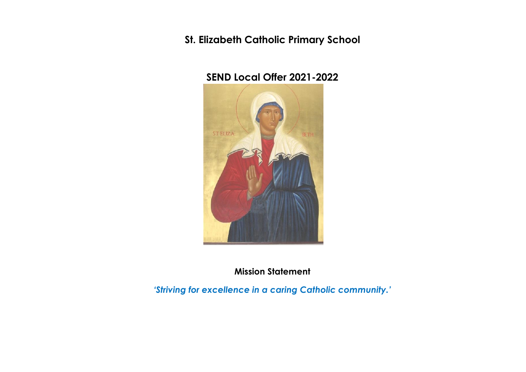**St. Elizabeth Catholic Primary School** 

# **SEND Local Offer 2021-2022**



**Mission Statement** 

*'Striving for excellence in a caring Catholic community.'*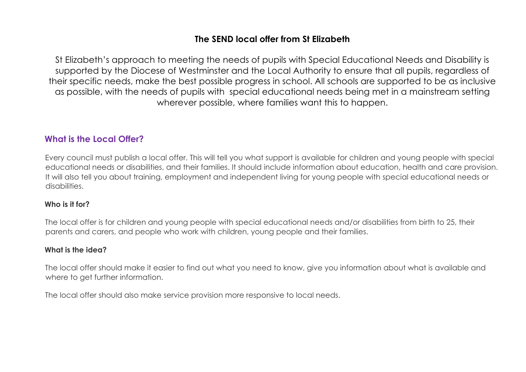## **The SEND local offer from St Elizabeth**

St Elizabeth's approach to meeting the needs of pupils with Special Educational Needs and Disability is supported by the Diocese of Westminster and the Local Authority to ensure that all pupils, regardless of their specific needs, make the best possible progress in school. All schools are supported to be as inclusive as possible, with the needs of pupils with special educational needs being met in a mainstream setting wherever possible, where families want this to happen.

## **What is the Local Offer?**

Every council must publish a local offer. This will tell you what support is available for children and young people with special educational needs or disabilities, and their families. It should include information about education, health and care provision. It will also tell you about training, employment and independent living for young people with special educational needs or disabilities.

### **Who is it for?**

The local offer is for children and young people with special educational needs and/or disabilities from birth to 25, their parents and carers, and people who work with children, young people and their families.

### **What is the idea?**

The local offer should make it easier to find out what you need to know, give you information about what is available and where to get further information.

The local offer should also make service provision more responsive to local needs.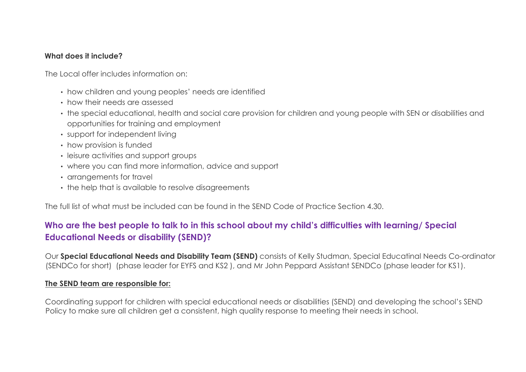### **What does it include?**

The Local offer includes information on:

- how children and young peoples' needs are identified
- how their needs are assessed
- the special educational, health and social care provision for children and young people with SEN or disabilities and opportunities for training and employment
- support for independent living
- how provision is funded
- leisure activities and support groups
- where you can find more information, advice and support
- arrangements for travel
- the help that is available to resolve disagreements

The full list of what must be included can be found in the SEND Code of Practice Section 4.30.

## **Who are the best people to talk to in this school about my child's difficulties with learning/ Special Educational Needs or disability (SEND)?**

Our **Special Educational Needs and Disability Team (SEND)** consists of Kelly Studman, Special Educatinal Needs Co-ordinator (SENDCo for short) (phase leader for EYFS and KS2 ), and Mr John Peppard Assistant SENDCo (phase leader for KS1).

#### **The SEND team are responsible for:**

Coordinating support for children with special educational needs or disabilities (SEND) and developing the school's SEND Policy to make sure all children get a consistent, high quality response to meeting their needs in school.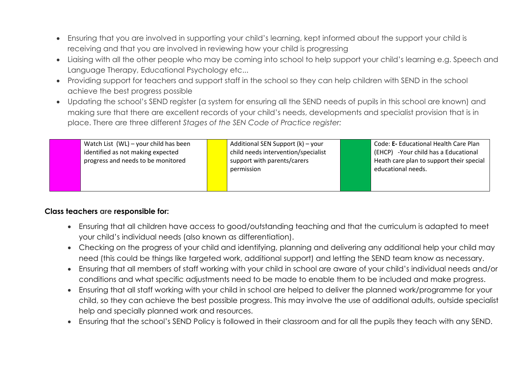- Ensuring that you are involved in supporting your child's learning, kept informed about the support your child is receiving and that you are involved in reviewing how your child is progressing
- Liaising with all the other people who may be coming into school to help support your child's learning e.g. Speech and Language Therapy, Educational Psychology etc...
- Providing support for teachers and support staff in the school so they can help children with SEND in the school achieve the best progress possible
- Updating the school's SEND register (a system for ensuring all the SEND needs of pupils in this school are known) and making sure that there are excellent records of your child's needs, developments and specialist provision that is in place. There are three different *Stages of the SEN Code of Practice register:*

| Watch List (WL) – your child has been<br>identified as not making expected<br>progress and needs to be monitored | Additional SEN Support (k) – your<br>child needs intervention/specialist<br>support with parents/carers<br>permission | Code: E- Educational Health Care Plan<br>(EHCP) - Your child has a Educational<br>Heath care plan to support their special<br>educational needs. |
|------------------------------------------------------------------------------------------------------------------|-----------------------------------------------------------------------------------------------------------------------|--------------------------------------------------------------------------------------------------------------------------------------------------|
|                                                                                                                  |                                                                                                                       |                                                                                                                                                  |

### **Class teachers are responsible for:**

- Ensuring that all children have access to good/outstanding teaching and that the curriculum is adapted to meet your child's individual needs (also known as differentiation).
- Checking on the progress of your child and identifying, planning and delivering any additional help your child may need (this could be things like targeted work, additional support) and letting the SEND team know as necessary.
- Ensuring that all members of staff working with your child in school are aware of your child's individual needs and/or conditions and what specific adjustments need to be made to enable them to be included and make progress.
- Ensuring that all staff working with your child in school are helped to deliver the planned work/programme for your child, so they can achieve the best possible progress. This may involve the use of additional adults, outside specialist help and specially planned work and resources.
- Ensuring that the school's SEND Policy is followed in their classroom and for all the pupils they teach with any SEND.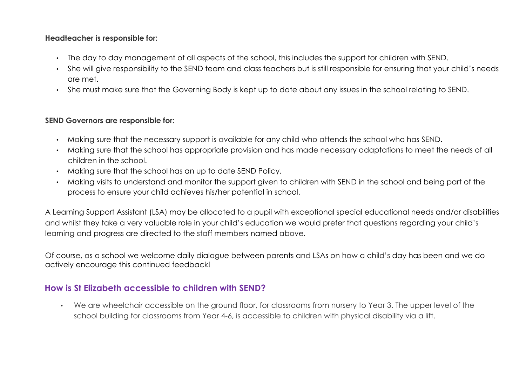#### **Headteacher is responsible for:**

- The day to day management of all aspects of the school, this includes the support for children with SEND.
- She will give responsibility to the SEND team and class teachers but is still responsible for ensuring that your child's needs are met.
- She must make sure that the Governing Body is kept up to date about any issues in the school relating to SEND.

## **SEND Governors are responsible for:**

- Making sure that the necessary support is available for any child who attends the school who has SEND.
- Making sure that the school has appropriate provision and has made necessary adaptations to meet the needs of all children in the school.
- Making sure that the school has an up to date SEND Policy.
- Making visits to understand and monitor the support given to children with SEND in the school and being part of the process to ensure your child achieves his/her potential in school.

A Learning Support Assistant (LSA) may be allocated to a pupil with exceptional special educational needs and/or disabilities and whilst they take a very valuable role in your child's education we would prefer that questions regarding your child's learning and progress are directed to the staff members named above.

Of course, as a school we welcome daily dialogue between parents and LSAs on how a child's day has been and we do actively encourage this continued feedback!

## **How is St Elizabeth accessible to children with SEND?**

• We are wheelchair accessible on the ground floor, for classrooms from nursery to Year 3. The upper level of the school building for classrooms from Year 4-6, is accessible to children with physical disability via a lift.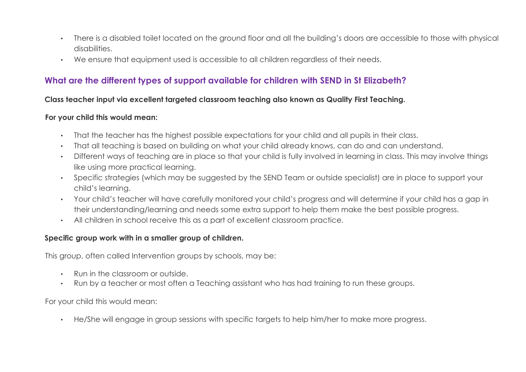- There is a disabled toilet located on the ground floor and all the building's doors are accessible to those with physical disabilities.
- We ensure that equipment used is accessible to all children regardless of their needs.

# **What are the different types of support available for children with SEND in St Elizabeth?**

### **Class teacher input via excellent targeted classroom teaching also known as Quality First Teaching.**

#### **For your child this would mean:**

- That the teacher has the highest possible expectations for your child and all pupils in their class.
- That all teaching is based on building on what your child already knows, can do and can understand.
- Different ways of teaching are in place so that your child is fully involved in learning in class. This may involve things like using more practical learning.
- Specific strategies (which may be suggested by the SEND Team or outside specialist) are in place to support your child's learning.
- Your child's teacher will have carefully monitored your child's progress and will determine if your child has a gap in their understanding/learning and needs some extra support to help them make the best possible progress.
- All children in school receive this as a part of excellent classroom practice.

## **Specific group work with in a smaller group of children.**

This group, often called Intervention groups by schools, may be:

- Run in the classroom or outside.
- Run by a teacher or most often a Teaching assistant who has had training to run these groups.

For your child this would mean:

• He/She will engage in group sessions with specific targets to help him/her to make more progress.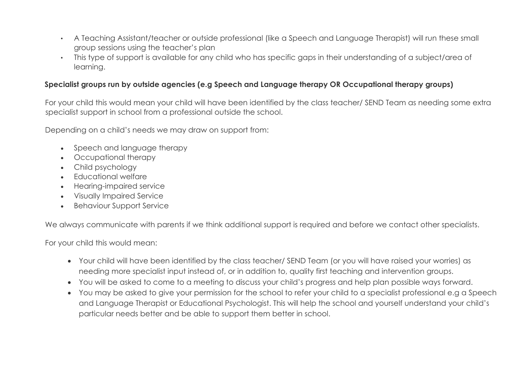- A Teaching Assistant/teacher or outside professional (like a Speech and Language Therapist) will run these small group sessions using the teacher's plan
- This type of support is available for any child who has specific gaps in their understanding of a subject/area of learning.

### **Specialist groups run by outside agencies (e.g Speech and Language therapy OR Occupational therapy groups)**

For your child this would mean your child will have been identified by the class teacher/ SEND Team as needing some extra specialist support in school from a professional outside the school.

Depending on a child's needs we may draw on support from:

- Speech and language therapy
- Occupational therapy
- Child psychology
- Educational welfare
- Hearing-impaired service
- Visually Impaired Service
- Behaviour Support Service

We always communicate with parents if we think additional support is required and before we contact other specialists.

For your child this would mean:

- Your child will have been identified by the class teacher/ SEND Team (or you will have raised your worries) as needing more specialist input instead of, or in addition to, quality first teaching and intervention groups.
- You will be asked to come to a meeting to discuss your child's progress and help plan possible ways forward.
- You may be asked to give your permission for the school to refer your child to a specialist professional e.g a Speech and Language Therapist or Educational Psychologist. This will help the school and yourself understand your child's particular needs better and be able to support them better in school.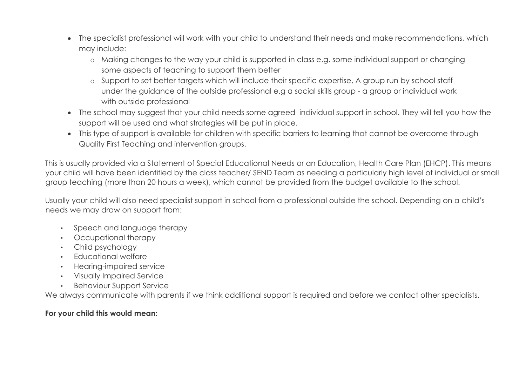- The specialist professional will work with your child to understand their needs and make recommendations, which may include:
	- o Making changes to the way your child is supported in class e.g. some individual support or changing some aspects of teaching to support them better
	- o Support to set better targets which will include their specific expertise, A group run by school staff under the guidance of the outside professional e.g a social skills group - a group or individual work with outside professional
- The school may suggest that your child needs some agreed individual support in school. They will tell you how the support will be used and what strategies will be put in place.
- This type of support is available for children with specific barriers to learning that cannot be overcome through Quality First Teaching and intervention groups.

This is usually provided via a Statement of Special Educational Needs or an Education, Health Care Plan (EHCP). This means your child will have been identified by the class teacher/ SEND Team as needing a particularly high level of individual or small group teaching (more than 20 hours a week), which cannot be provided from the budget available to the school.

Usually your child will also need specialist support in school from a professional outside the school. Depending on a child's needs we may draw on support from:

- Speech and language therapy
- Occupational therapy
- Child psychology
- Educational welfare
- Hearing-impaired service
- Visually Impaired Service
- Behaviour Support Service

We always communicate with parents if we think additional support is required and before we contact other specialists.

## **For your child this would mean:**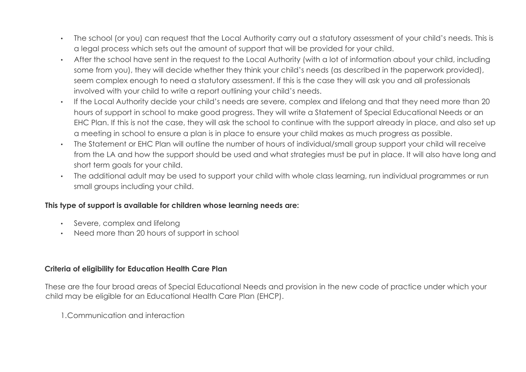- The school (or you) can request that the Local Authority carry out a statutory assessment of your child's needs. This is a legal process which sets out the amount of support that will be provided for your child.
- After the school have sent in the request to the Local Authority (with a lot of information about your child, including some from you), they will decide whether they think your child's needs (as described in the paperwork provided), seem complex enough to need a statutory assessment. If this is the case they will ask you and all professionals involved with your child to write a report outlining your child's needs.
- If the Local Authority decide your child's needs are severe, complex and lifelong and that they need more than 20 hours of support in school to make good progress. They will write a Statement of Special Educational Needs or an EHC Plan. If this is not the case, they will ask the school to continue with the support already in place, and also set up a meeting in school to ensure a plan is in place to ensure your child makes as much progress as possible.
- The Statement or EHC Plan will outline the number of hours of individual/small group support your child will receive from the LA and how the support should be used and what strategies must be put in place. It will also have long and short term goals for your child.
- The additional adult may be used to support your child with whole class learning, run individual programmes or run small groups including your child.

### **This type of support is available for children whose learning needs are:**

- Severe, complex and lifelong
- Need more than 20 hours of support in school

## **Criteria of eligibility for Education Health Care Plan**

These are the four broad areas of Special Educational Needs and provision in the new code of practice under which your child may be eligible for an Educational Health Care Plan (EHCP).

1.Communication and interaction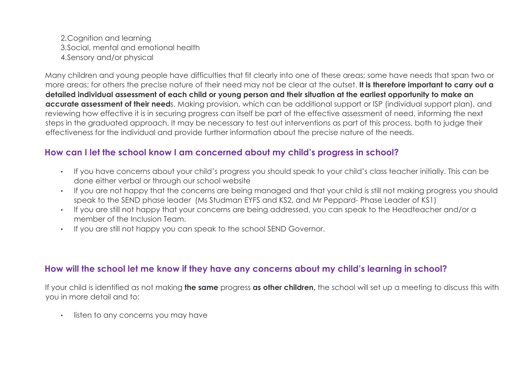2.Cognition and learning 3.Social, mental and emotional health 4.Sensory and/or physical

Many children and young people have difficulties that fit clearly into one of these areas; some have needs that span two or more areas; for others the precise nature of their need may not be clear at the outset. **It is therefore important to carry out a detailed individual assessment of each child or young person and their situation at the earliest opportunity to make an accurate assessment of their need**s. Making provision, which can be additional support or ISP (individual support plan), and reviewing how effective it is in securing progress can itself be part of the effective assessment of need, informing the next steps in the graduated approach. It may be necessary to test out interventions as part of this process, both to judge their effectiveness for the individual and provide further information about the precise nature of the needs.

## **How can I let the school know I am concerned about my child's progress in school?**

- If you have concerns about your child's progress you should speak to your child's class teacher initially. This can be done either verbal or through our school website
- If you are not happy that the concerns are being managed and that your child is still not making progress you should speak to the SEND phase leader (Ms Studman EYFS and KS2, and Mr Peppard- Phase Leader of KS1)
- If you are still not happy that your concerns are being addressed, you can speak to the Headteacher and/or a member of the Inclusion Team.
- If you are still not happy you can speak to the school SEND Governor.

## **How will the school let me know if they have any concerns about my child's learning in school?**

If your child is identified as not making **the same** progress **as other children,** the school will set up a meeting to discuss this with you in more detail and to:

• listen to any concerns you may have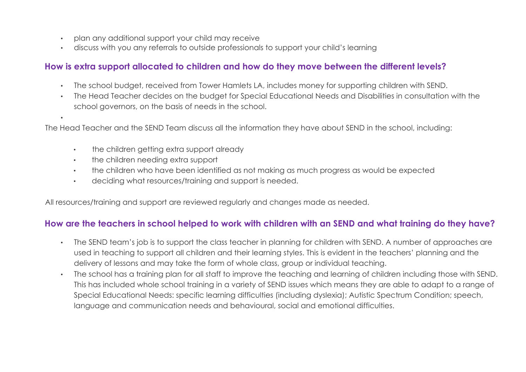- plan any additional support your child may receive
- discuss with you any referrals to outside professionals to support your child's learning

## **How is extra support allocated to children and how do they move between the different levels?**

- The school budget, received from Tower Hamlets LA, includes money for supporting children with SEND.
- The Head Teacher decides on the budget for Special Educational Needs and Disabilities in consultation with the school governors, on the basis of needs in the school.

The Head Teacher and the SEND Team discuss all the information they have about SEND in the school, including:

- the children getting extra support already
- the children needing extra support

•

- the children who have been identified as not making as much progress as would be expected
- deciding what resources/training and support is needed.

All resources/training and support are reviewed regularly and changes made as needed.

## **How are the teachers in school helped to work with children with an SEND and what training do they have?**

- The SEND team's job is to support the class teacher in planning for children with SEND. A number of approaches are used in teaching to support all children and their learning styles. This is evident in the teachers' planning and the delivery of lessons and may take the form of whole class, group or individual teaching.
- The school has a training plan for all staff to improve the teaching and learning of children including those with SEND. This has included whole school training in a variety of SEND issues which means they are able to adapt to a range of Special Educational Needs: specific learning difficulties (including dyslexia); Autistic Spectrum Condition; speech, language and communication needs and behavioural, social and emotional difficulties.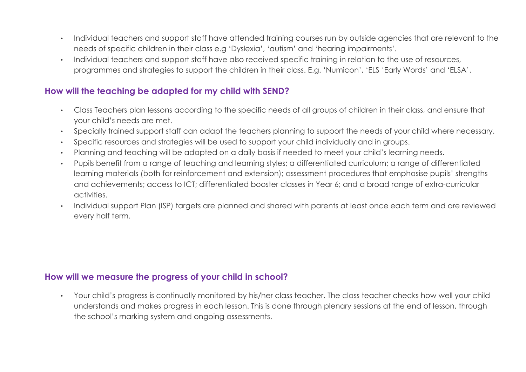- Individual teachers and support staff have attended training courses run by outside agencies that are relevant to the needs of specific children in their class e.g 'Dyslexia', 'autism' and 'hearing impairments'.
- Individual teachers and support staff have also received specific training in relation to the use of resources, programmes and strategies to support the children in their class. E.g. 'Numicon', 'ELS 'Early Words' and 'ELSA'.

## **How will the teaching be adapted for my child with SEND?**

- Class Teachers plan lessons according to the specific needs of all groups of children in their class, and ensure that your child's needs are met.
- Specially trained support staff can adapt the teachers planning to support the needs of your child where necessary.
- Specific resources and strategies will be used to support your child individually and in groups.
- Planning and teaching will be adapted on a daily basis if needed to meet your child's learning needs.
- Pupils benefit from a range of teaching and learning styles; a differentiated curriculum; a range of differentiated learning materials (both for reinforcement and extension); assessment procedures that emphasise pupils' strengths and achievements; access to ICT; differentiated booster classes in Year 6; and a broad range of extra-curricular activities.
- Individual support Plan (ISP) targets are planned and shared with parents at least once each term and are reviewed every half term.

## **How will we measure the progress of your child in school?**

• Your child's progress is continually monitored by his/her class teacher. The class teacher checks how well your child understands and makes progress in each lesson. This is done through plenary sessions at the end of lesson, through the school's marking system and ongoing assessments.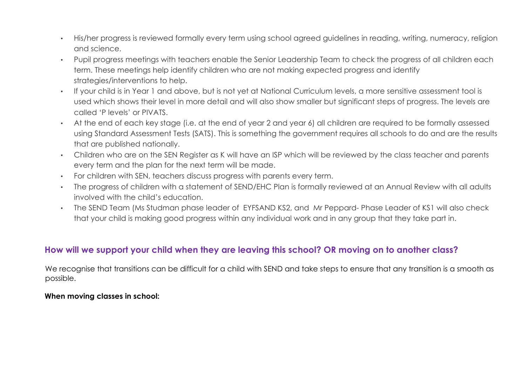- His/her progress is reviewed formally every term using school agreed guidelines in reading, writing, numeracy, religion and science.
- Pupil progress meetings with teachers enable the Senior Leadership Team to check the progress of all children each term. These meetings help identify children who are not making expected progress and identify strategies/interventions to help.
- If your child is in Year 1 and above, but is not yet at National Curriculum levels, a more sensitive assessment tool is used which shows their level in more detail and will also show smaller but significant steps of progress. The levels are called 'P levels' or PIVATS.
- At the end of each key stage (i.e. at the end of year 2 and year 6) all children are required to be formally assessed using Standard Assessment Tests (SATS). This is something the government requires all schools to do and are the results that are published nationally.
- Children who are on the SEN Register as K will have an ISP which will be reviewed by the class teacher and parents every term and the plan for the next term will be made.
- For children with SEN, teachers discuss progress with parents every term.
- The progress of children with a statement of SEND/EHC Plan is formally reviewed at an Annual Review with all adults involved with the child's education.
- The SEND Team (Ms Studman phase leader of EYFSAND KS2, and Mr Peppard- Phase Leader of KS1 will also check that your child is making good progress within any individual work and in any group that they take part in.

# **How will we support your child when they are leaving this school? OR moving on to another class?**

We recognise that transitions can be difficult for a child with SEND and take steps to ensure that any transition is a smooth as possible.

#### **When moving classes in school:**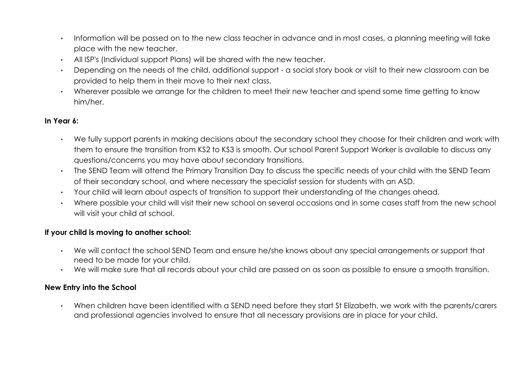- Information will be passed on to the new class teacher in advance and in most cases, a planning meeting will take place with the new teacher.
- All ISP's (Individual support Plans) will be shared with the new teacher.
- Depending on the needs of the child, additional support a social story book or visit to their new classroom can be provided to help them in their move to their next class.
- Wherever possible we arrange for the children to meet their new teacher and spend some time getting to know him/her.

### **In Year 6:**

- We fully support parents in making decisions about the secondary school they choose for their children and work with them to ensure the transition from KS2 to KS3 is smooth. Our school Parent Support Worker is available to discuss any questions/concerns you may have about secondary transitions.
- The SEND Team will attend the Primary Transition Day to discuss the specific needs of your child with the SEND Team of their secondary school, and where necessary the specialist session for students with an ASD.
- Your child will learn about aspects of transition to support their understanding of the changes ahead.
- Where possible your child will visit their new school on several occasions and in some cases staff from the new school will visit your child at school.

### **If your child is moving to another school:**

- We will contact the school SEND Team and ensure he/she knows about any special arrangements or support that need to be made for your child.
- We will make sure that all records about your child are passed on as soon as possible to ensure a smooth transition.

### **New Entry into the School**

• When children have been identified with a SEND need before they start St Elizabeth, we work with the parents/carers and professional agencies involved to ensure that all necessary provisions are in place for your child.